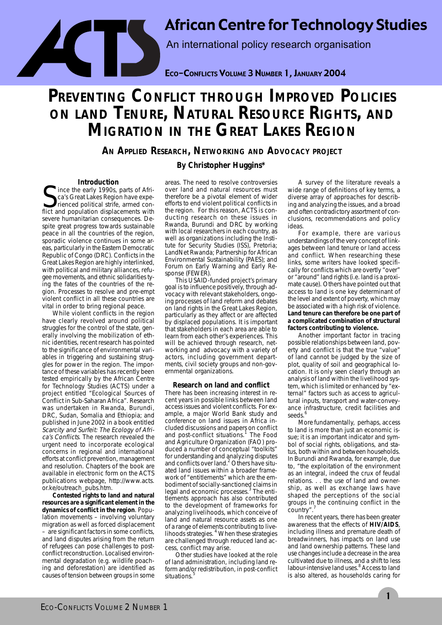African Centre for Technology Studies

An international policy research organisation

ECO-CONFLICTS VOLUME 3 NUMBER 1, JANUARY 2004

# **PREVENTING CONFLICT THROUGH IMPROVED POLICIES ON LAND TENURE, NATURAL RESOURCE RIGHTS, AND MIGRATION IN THE GREAT LAKES REGION**

**AN APPLIED RESEARCH, NETWORKING AND ADVOCACY PROJECT**

# **By Christopher Huggins\***

### **Introduction**

ince the early 1990s, parts of Africa's Great Lakes Region have experienced political strife, armed conflict and population displacements with severe humanitarian consequences. Despite great progress towards sustainable peace in all the countries of the region, sporadic violence continues in some areas, particularly in the Eastern Democratic Republic of Congo (DRC). Conflicts in the Great Lakes Region are highly interlinked, with political and military alliances, refugee movements, and ethnic solidarities tying the fates of the countries of the region. Processes to resolve and pre-empt violent conflict in all these countries are vital in order to bring regional peace.

While violent conflicts in the region have clearly revolved around political struggles for the control of the state, generally involving the mobilization of ethnic identities, recent research has pointed to the significance of environmental variables in triggering and sustaining struggles for power in the region. The importance of these variables has recently been tested empirically by the African Centre for Technology Studies (ACTS) under a project entitled "Ecological Sources of Conflict in Sub-Saharan Africa". Research was undertaken in Rwanda, Burundi, DRC, Sudan, Somalia and Ethiopia; and published in June 2002 in a book entitled Scarcity and Surfeit: The Ecology of Africa's Conflicts. The research revealed the urgent need to incorporate ecological concerns in regional and international efforts at conflict prevention, management and resolution. Chapters of the book are available in electronic form on the ACTS publications webpage, http://www.acts. or.ke/outreach\_pubs.htm.

**Contested rights to land and natural resources are a significant element in the dynamics of conflict in the region**. Population movements – involving voluntary migration as well as forced displacement – are significant factors in some conflicts, and land disputes arising from the return of refugees can pose challenges to postconflict reconstruction. Localised environmental degradation (e.g. wildlife poaching and deforestation) are identified as causes of tension between groups in some areas. The need to resolve controversies over land and natural resources must therefore be a pivotal element of wider efforts to end violent political conflicts in the region. For this reason, ACTS is conducting research on these issues in Rwanda, Burundi and DRC by working with local researchers in each country, as well as organizations including the Institute for Security Studies (ISS), Pretoria; LandNet Rwanda; Partnership for African Environmental Sustainability (PAES); and Forum on Early Warning and Early Response (FEWER).

This USAID-funded project's primary goal is to influence positively, through advocacy with relevant stakeholders, ongoing processes of land reform and debates on land rights in the Great Lakes Region, particularly as they affect or are affected by displaced populations. It is important that stakeholders in each area are able to learn from each other's experiences. This will be achieved through research, networking and advocacy with a variety of actors, including government departments, civil society groups and non-governmental organizations.

## **Research on land and conflict**

There has been increasing interest in recent years in possible links between land access issues and violent conflicts. For example, a major World Bank study and conference on land issues in Africa included discussions and papers on conflict and post-conflict situations. $<sup>1</sup>$  The Food</sup> and Agriculture Organization (FAO) produced a number of conceptual "toolkits" for understanding and analyzing disputes and conflicts over land.<sup>2</sup> Others have situated land issues within a broader framework of "entitlements" which are the embodiment of socially-sanctioned claims in legal and economic processes.<sup>3</sup> The entitlements approach has also contributed to the development of frameworks for analyzing livelihoods, which conceive of land and natural resource assets as one of a range of elements contributing to live-<br>lihoods strategies. <sup>4</sup> When these strategies are challenged through reduced land access, conflict may arise.

Other studies have looked at the role of land administration, including land reform and/or redistribution, in post-conflict situations.

A survey of the literature reveals a wide range of definitions of key terms, a diverse array of approaches for describing and analyzing the issues, and a broad and often contradictory assortment of conclusions, recommendations and policy ideas.

For example, there are various understandings of the very concept of linkages between land tenure or land access and conflict. When researching these links, some writers have looked specifically for conflicts which are overtly "over" or "around" land rights (i.e. land is a proximate cause). Others have pointed out that access to land is one key determinant of the level and extent of poverty, which may be associated with a high risk of violence. **Land tenure can therefore be one part of a complicated combination of structural factors contributing to violence.**

Another important factor in tracing possible relationships between land, poverty and conflict is that the true "value" of land cannot be judged by the size of plot, quality of soil and geographical location. It is only seen clearly through an analysis of land within the livelihood system, which is limited or enhanced by "external" factors such as access to agricultural inputs, transport and water-conveyance infrastructure, credit facilities and seeds.<sup>6</sup>

More fundamentally, perhaps, access to land is more than just an economic issue; it is an important indicator and symbol of social rights, obligations, and status, both within and between households. In Burundi and Rwanda, for example, due to, "the exploitation of the environment as an integral, indeed the crux of feudal relations. . . the use of land and ownership, as well as exchange laws have shaped the perceptions of the social groups in the continuing conflict in the country".

In recent years, there has been greater awareness that the effects of **HIV/AIDS**, including illness and premature death of breadwinners, has impacts on land use and land ownership patterns. These land use changes include a decrease in the area cultivated due to illness, and a shift to less labour-intensive land uses.<sup>8</sup> Access to land is also altered, as households caring for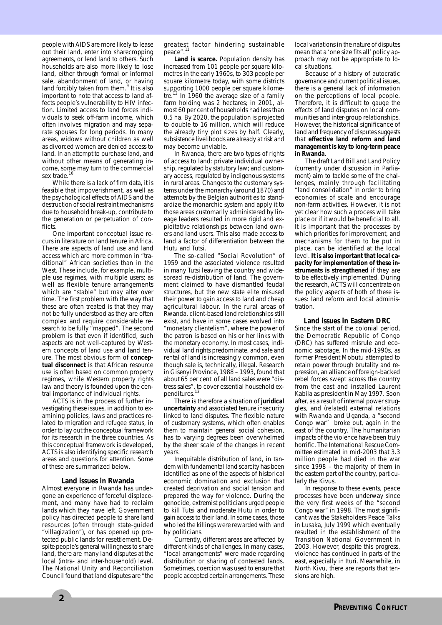people with AIDS are more likely to lease out their land, enter into sharecropping agreements, or lend land to others. Such households are also more likely to lose land, either through formal or informal sale, abandonment of land, or having land forcibly taken from them.<sup>9</sup> It is also important to note that access to land affects people's vulnerability to HIV infection. Limited access to land forces individuals to seek off-farm income, which often involves migration and may separate spouses for long periods. In many areas, widows without children as well as divorced women are denied access to land. In an attempt to purchase land, and without other means of generating income, some may turn to the commercial sex trade.<sup>10</sup>

While there is a lack of firm data, it is feasible that impoverishment, as well as the psychological effects of AIDS and the destruction of social restraint mechanisms due to household break-up, contribute to the generation or perpetuation of conflicts

One important conceptual issue recurs in literature on land tenure in Africa. There are aspects of land use and land access which are more common in "traditional" African societies than in the West. These include, for example, multiple use regimes, with multiple users; as well as flexible tenure arrangements which are "stable" but may alter over time. The first problem with the way that these are often treated is that they may not be fully understood as they are often complex and require considerable research to be fully "mapped". The second problem is that even if identified, such aspects are not well-captured by Western concepts of land use and land tenure. The most obvious form of **conceptual disconnect** is that African resource use is often based on common property regimes, while Western property rights law and theory is founded upon the central importance of individual rights.

ACTS is in the process of further investigating these issues, in addition to examining policies, laws and practices related to migration and refugee status, in order to lay out the conceptual framework for its research in the three countries. As this conceptual framework is developed, ACTS is also identifying specific research areas and questions for attention. Some of these are summarized below.

#### **Land issues in Rwanda**

Almost everyone in Rwanda has undergone an experience of forceful displacement, and many have had to reclaim lands which they have left. Government policy has directed people to share land resources (often through state-guided "villagization"), or has opened up protected public lands for resettlement. Despite people's general willingness to share land, there are many land disputes at the local (intra- and inter-household) level. The National Unity and Reconciliation Council found that land disputes are "the

greatest factor hindering sustainable peace".

**Land is scarce.** Population density has increased from 101 people per square kilometres in the early 1960s, to 303 people per square kilometre today, with some districts supporting 1000 people per square kilome-<br>tre.<sup>12</sup> In 1960 the average size of a family farm holding was 2 hectares; in 2001, almost 60 per cent of households had less than 0.5 ha. By 2020, the population is projected to double to 16 million, which will reduce the already tiny plot sizes by half. Clearly, subsistence livelihoods are already at risk and may become unviable.

In Rwanda, there are two types of rights of access to land: private individual ownership, regulated by statutory law; and customary access, regulated by indigenous systems in rural areas. Changes to the customary systems under the monarchy (around 1870) and attempts by the Belgian authorities to standardize the monarchic system and apply it to those areas customarily administered by lineage leaders resulted in more rigid and exploitative relationships between land owners and land users. This also made access to land a factor of differentiation between the Hutu and Tutsi.

The so-called "Social Revolution" of 1959 and the associated violence resulted in many Tutsi leaving the country and widespread re-distribution of land. The government claimed to have dismantled feudal structures, but the new state elite misused their power to gain access to land and cheap agricultural labour. In the rural areas of Rwanda, client-based land relationships still exist, and have in some cases evolved into "monetary clientelism", where the power of the patron is based on his or her links with the monetary economy. In most cases, individual land rights predominate, and sale and rental of land is increasingly common, even though sale is, technically, illegal. Research in Gisenyi Province, 1988 – 1993, found that about 65 per cent of all land sales were "distress sales", to cover essential household ex-<br>penditures.<sup>13</sup>

There is therefore a situation of **juridical uncertainty** and associated tenure insecurity linked to land disputes. The flexible nature of customary systems, which often enables them to maintain general social cohesion, has to varying degrees been overwhelmed by the sheer scale of the changes in recent years.

Inequitable distribution of land, in tandem with fundamental land scarcity has been identified as one of the aspects of historical economic domination and exclusion that created deprivation and social tension and prepared the way for violence. During the genocide, extremist politicians urged people to kill Tutsi and moderate Hutu in order to gain access to their land. In some cases, those who led the killings were rewarded with land by politicians.

Currently, different areas are affected by different kinds of challenges. In many cases, "local arrangements" were made regarding distribution or sharing of contested lands. Sometimes, coercion was used to ensure that people accepted certain arrangements. These local variations in the nature of disputes mean that a 'one size fits all' policy approach may not be appropriate to local situations.

Because of a history of autocratic governance and current political issues, there is a general lack of information on the perceptions of local people. Therefore, it is difficult to gauge the effects of land disputes on local communities and inter-group relationships. However, the historical significance of land and frequency of disputes suggests that **effective land reform and land management is key to long-term peace in Rwanda**.

The draft Land Bill and Land Policy (currently under discussion in Parliament) aim to tackle some of the challenges, mainly through facilitating "land consolidation" in order to bring economies of scale and encourage non-farm activities. However, it is not yet clear how such a process will take place or if it would be beneficial to all. It is important that the processes by which priorities for improvement, and mechanisms for them to be put in place, can be identified at the local level. **It is also important that local capacity for implementation of these instruments is strengthened** if they are to be effectively implemented. During the research, ACTS will concentrate on the policy aspects of both of these issues: land reform and local administration.

#### **Land issues in Eastern DRC**

Since the start of the colonial period, the Democratic Republic of Congo (DRC) has suffered misrule and economic sabotage. In the mid-1990s, as former President Mobutu attempted to retain power through brutality and repression, an alliance of foreign-backed rebel forces swept across the country from the east and installed Laurent Kabila as president in May 1997. Soon after, as a result of internal power struggles, and (related) external relations with Rwanda and Uganda, a "second Congo war" broke out, again in the east of the country. The humanitarian impacts of the violence have been truly horrific. The International Rescue Committee estimated in mid-2003 that 3.3 million people had died in the war since 1998 – the majority of them in the eastern part of the country, particularly the Kivus.

In response to these events, peace processes have been underway since the very first weeks of the "second Congo war" in 1998. The most significant was the Stakeholders Peace Talks in Lusaka, July 1999 which eventually resulted in the establishment of the Transition National Government in 2003. However, despite this progress, violence has continued in parts of the east, especially in Ituri. Meanwhile, in North Kivu, there are reports that tensions are high.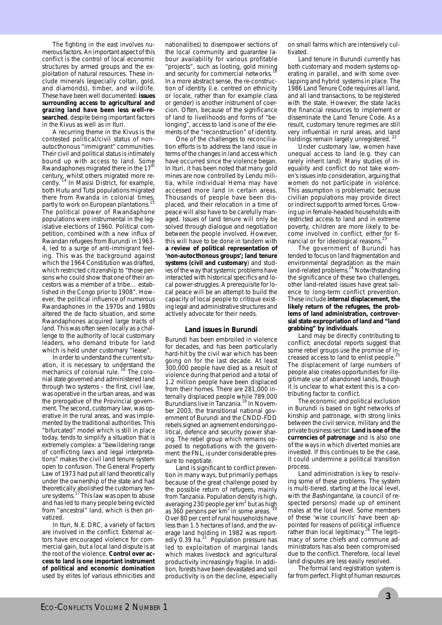The fighting in the east involves numerous factors. An important aspect of this conflict is the control of local economic structures by armed groups and the exploitation of natural resources. These include minerals (especially coltan, gold, and diamonds), timber, and wildlife. These have been well documented: **issues surrounding access to agricultural and grazing land have been less well-researched**, despite being important factors in the Kivus as well as in Ituri.

A recurring theme in the Kivus is the contested political/civil status of nonautocthonous "immigrant" communities. Their civil and political status is intimately bound up with access to land. Some Rwandaphones migrated there in the 17<sup>th</sup> century, whilst others migrated more re-cently. <sup>14</sup> In Masisi District, for example, both Hutu and Tutsi populations migrated there from Rwanda in colonial times, partly to work on European plantations. The political power of Rwandaphone populations were instrumental in the legislative elections of 1960. Political competition, combined with a new influx of Rwandan refugees from Burundi in 1963- 4, led to a surge of anti-immigrant feeling. This was the background against which the 1964 Constitution was drafted, which restricted citizenship to "those persons who could show that one of their ancestors was a member of a tribe… established in the Congo prior to 1908". However, the political influence of numerous Rwandaphones in the 1970s and 1980s altered the de facto situation, and some Rwandaphones acquired large tracts of land. This was often seen locally as a challenge to the authority of local customary leaders, who demand tribute for land which is held under customary "lease".

In order to understand the current situation, it is necessary to understand the mechanics of colonial rule.<sup>16</sup> The colonial state governed and administered land through two systems – the first, civil law, was operative in the urban areas, and was the prerogative of the Provincial government. The second, customary law, was operative in the rural areas, and was implemented by the traditional authorities. This "bifurcated" model which is still in place today, tends to simplify a situation that is extremely complex: a "bewildering range of conflicting laws and legal interpretations" makes the civil land tenure system open to confusion. The General Property Law of 1973 had put all land theoretically under the ownership of the state and had theoretically abolished the customary ten-<br>ure systems.<sup>17</sup> This law was open to abuse and has led to many people being evicted from "ancestral" land, which is then privatized.

In Ituri, N.E. DRC, a variety of factors are involved in the conflict. External actors have encouraged violence for commercial gain, but a local land dispute is at the root of the violence. **Control over access to land is one important instrument of political and economic domination** used by elites (of various ethnicities and nationalities) to disempower sections of the local community and guarantee labour availability for various profitable "projects", such as looting, gold mining and security for commercial networks. In a more abstract sense, the re-construction of identity (i.e. centred on ethnicity or locale, rather than for example class or gender) is another instrument of coercion. Often, because of the significance of land to livelihoods and forms of "belonging", access to land is one of the elements of the "reconstruction" of identity.

One of the challenges to reconciliation efforts is to address the land issue in terms of the changes in land access which have occurred since the violence began. In Ituri, it has been noted that many gold mines are now controlled by Lendu militia, while individual Hema may have accessed more land in certain areas. Thousands of people have been displaced, and their relocation in a time of peace will also have to be carefully managed. Issues of land tenure will only be solved through dialogue and negotiation between the people involved. However, this will have to be done in tandem with **a review of political representation of 'non-autocthonous groups'; land tenure systems (civil and customary**) and studies of the way that systemic problems have interacted with historical specifics and local power-struggles. A prerequisite for local peace will be an attempt to build the capacity of local people to critique existing legal and administrative structures and actively advocate for their needs.

#### **Land issues in Burundi**

Burundi has been embroiled in violence for decades, and has been particularly hard-hit by the civil war which has been going on for the last decade. At least 300,000 people have died as a result of violence during that period and a total of 1.2 million people have been displaced from their homes. There are 281,000 internally displaced people while 789,000<br>Burundians live in Tanzania.<sup>19</sup> In November 2003, the transitional national government of Burundi and the CNDD-FDD rebels signed an agreement endorsing political, defence and security power sharing. The rebel group which remains opposed to negotiations with the government: the FNL, is under considerable pressure to negotiate.

Land is significant to conflict prevention in many ways, but primarily perhaps because of the great challenge posed by the possible return of refugees, mainly from Tanzania. Population density is high, averaging 230 people per  $km<sup>2</sup>$  but as high as 360 persons per  $km<sup>2</sup>$  in some areas. Over 80 per cent of rural households have less than 1.5 hectares of land, and the average land holding in 1982 was reportedly 0.39 ha. $^{21}$  Population pressure has led to exploitation of marginal lands which makes livestock and agricultural productivity increasingly fragile. In addition, forests have been devastated and soil productivity is on the decline, especially

on small farms which are intensively cultivated.

Land tenure in Burundi currently has both customary and modern systems operating in parallel, and with some overlapping and hybrid systems in place. The 1986 Land Tenure Code requires all land, and all land transactions, to be registered with the state. However, the state lacks the financial resources to implement or disseminate the Land Tenure Code. As a result, customary tenure regimes are still very influential in rural areas, and land holdings remain largely unregistered.<sup>22</sup>

Under customary law, women have unequal access to land (e.g. they can rarely inherit land). Many studies of inequality and conflict do not take women's issues into consideration, arguing that women do not participate in violence. This assumption is problematic because civilian populations may provide direct or indirect support to armed forces. Growing up in female-headed households with restricted access to land and in extreme poverty, children are more likely to become involved in conflict, either for financial or for ideological reasons.<sup>23</sup>

The government of Burundi has tended to focus on land fragmentation and environmental degradation as the main<br>land-related problems.<sup>24</sup> Notwithstanding the significance of these two challenges, other land-related issues have great salience to long-term conflict prevention. These include **internal displacement, the likely return of the refugees, the problems of land administration, controversial state expropriation of land and "land grabbing" by individuals**.

Land may be directly contributing to conflict; anecdotal reports suggest that some rebel groups use the promise of in-<br>creased access to land to enlist people.<sup>25</sup> The displacement of large numbers of people also creates opportunities for illegitimate use of abandoned lands, though it is unclear to what extent this is a contributing factor to conflict.

The economic and political exclusion in Burundi is based on tight networks of kinship and patronage, with strong links between the civil service, military and the private business sector. **Land is one of the currencies of patronage** and is also one of the ways in which diverted monies are invested. If this continues to be the case, it could undermine a political transition process.

Land administration is key to resolving some of these problems. The system is multi-tiered, starting at the local level, with the Bashingantahe, (a council of respected persons) made up of eminent males at the local level. Some members of these 'wise councils' have been appointed for reasons of political influence rather than local legitimacy.<sup>26</sup> The legitimacy of some chiefs and commune administrators has also been compromised due to the conflict. Therefore, local level land disputes are less easily resolved.

The formal land registration system is far from perfect. Flight of human resources